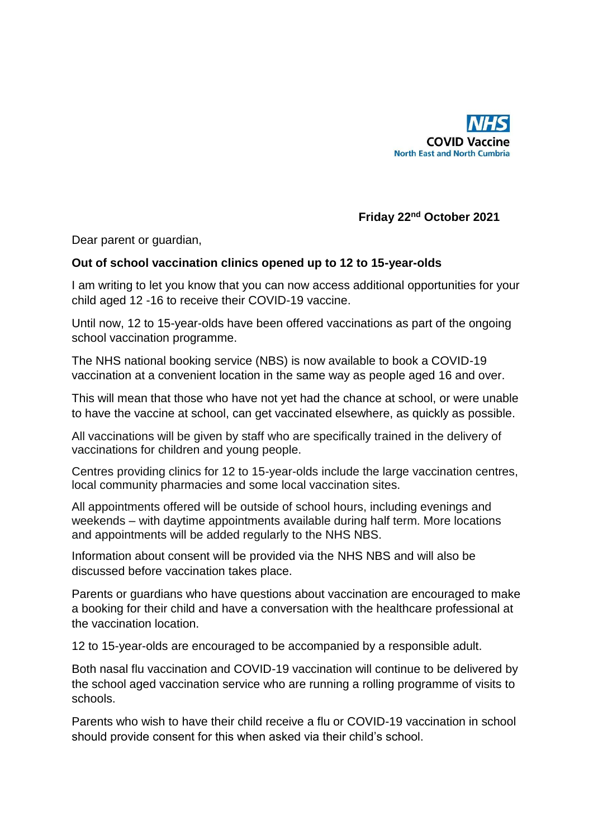

## **Friday 22nd October 2021**

Dear parent or guardian,

## **Out of school vaccination clinics opened up to 12 to 15-year-olds**

I am writing to let you know that you can now access additional opportunities for your child aged 12 -16 to receive their COVID-19 vaccine.

Until now, 12 to 15-year-olds have been offered vaccinations as part of the ongoing school vaccination programme.

The NHS national booking service (NBS) is now available to book a COVID-19 vaccination at a convenient location in the same way as people aged 16 and over.

This will mean that those who have not yet had the chance at school, or were unable to have the vaccine at school, can get vaccinated elsewhere, as quickly as possible.

All vaccinations will be given by staff who are specifically trained in the delivery of vaccinations for children and young people.

Centres providing clinics for 12 to 15-year-olds include the large vaccination centres, local community pharmacies and some local vaccination sites.

All appointments offered will be outside of school hours, including evenings and weekends – with daytime appointments available during half term. More locations and appointments will be added regularly to the NHS NBS.

Information about consent will be provided via the NHS NBS and will also be discussed before vaccination takes place.

Parents or guardians who have questions about vaccination are encouraged to make a booking for their child and have a conversation with the healthcare professional at the vaccination location.

12 to 15-year-olds are encouraged to be accompanied by a responsible adult.

Both nasal flu vaccination and COVID-19 vaccination will continue to be delivered by the school aged vaccination service who are running a rolling programme of visits to schools.

Parents who wish to have their child receive a flu or COVID-19 vaccination in school should provide consent for this when asked via their child's school.